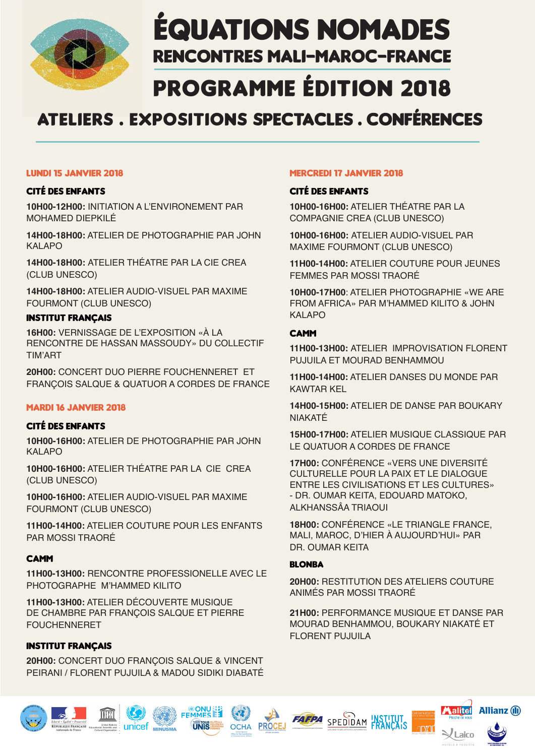

# ÉQUATIONS NOMADES RENCONTRES MALI-MAROC-FRANCE

# PROGRAMME ÉDITION 2018

# ATELIERS . EXPOSITIONS SPECTACLES . CONFÉRENCES

#### LUNDI 15 JANVIER 2018

# Cité des enfants

**10H00-12H00:** INITIATION A L'ENVIRONEMENT PAR MOHAMED DIEPKILÉ

**14H00-18H00:** ATELIER DE PHOTOGRAPHIE PAR JOHN KALAPO

**14H00-18H00:** ATELIER THÉATRE PAR LA CIE CREA (CLUB UNESCO)

**14H00-18H00:** ATELIER AUDIO-VISUEL PAR MAXIME FOURMONT (CLUB UNESCO)

# INSTITUT FRANÇAIS

**16H00:** VERNISSAGE DE L'EXPOSITION «À LA RENCONTRE DE HASSAN MASSOUDY» DU COLLECTIF TIM'ART

**20H00:** CONCERT DUO PIERRE FOUCHENNERET ET FRANÇOIS SALQUE & QUATUOR A CORDES DE FRANCE

# MARDI 16 JANVIER 2018

# Cité des enfants

**10H00-16H00:** ATELIER DE PHOTOGRAPHIE PAR JOHN KAI APO

**10H00-16H00:** ATELIER THÉATRE PAR LA CIE CREA (CLUB UNESCO)

**10H00-16H00:** ATELIER AUDIO-VISUEL PAR MAXIME FOURMONT (CLUB UNESCO)

**11H00-14H00:** ATELIER COUTURE POUR LES ENFANTS PAR MOSSI TRAORÉ

# CAMM

**11H00-13H00:** RENCONTRE PROFESSIONELLE AVEC LE PHOTOGRAPHE M'HAMMED KILITO

**11H00-13H00:** ATELIER DÉCOUVERTE MUSIQUE DE CHAMBRE PAR FRANÇOIS SALQUE ET PIERRE FOUCHENNERET

# INSTITUT FRANÇAIS

**20H00:** CONCERT DUO FRANÇOIS SALQUE & VINCENT PEIRANI / FLORENT PUJUILA & MADOU SIDIKI DIABATÉ

**FEMMES** 

**I INIS** 

**OCHA** 

**PROCEJ** 

# MERCREDI 17 JANVIER 2018

# Cité des enfants

**10H00-16H00:** ATELIER THÉATRE PAR LA COMPAGNIE CREA (CLUB UNESCO)

**10H00-16H00:** ATELIER AUDIO-VISUEL PAR MAXIME FOURMONT (CLUB UNESCO)

**11H00-14H00:** ATELIER COUTURE POUR JEUNES FEMMES PAR MOSSI TRAORÉ

**10H00-17H00**: ATELIER PHOTOGRAPHIE «WE ARE FROM AFRICA» PAR M'HAMMED KILITO & JOHN KALAPO

# **CAMM**

**11H00-13H00:** ATELIER IMPROVISATION FLORENT PUJUILA ET MOURAD BENHAMMOU

**11H00-14H00:** ATELIER DANSES DU MONDE PAR KAWTAR KEL

**14H00-15H00:** ATELIER DE DANSE PAR BOUKARY NIAKATÉ

**15H00-17H00:** ATELIER MUSIQUE CLASSIQUE PAR LE QUATUOR A CORDES DE FRANCE

**17H00:** CONFÉRENCE «VERS UNE DIVERSITÉ CULTURELLE POUR LA PAIX ET LE DIALOGUE ENTRE LES CIVILISATIONS ET LES CULTURES» - DR. OUMAR KEITA, EDOUARD MATOKO, ALKHANSSÂA TRIAOUI

**18H00:** CONFÉRENCE «LE TRIANGLE FRANCE, MALI, MAROC, D'HIER À AUJOURD'HUI» PAR DR. OUMAR KEITA

# BLONBA

**20H00:** RESTITUTION DES ATELIERS COUTURE ANIMÉS PAR MOSSI TRAORÉ

**21H00:** PERFORMANCE MUSIQUE ET DANSE PAR MOURAD BENHAMMOU, BOUKARY NIAKATÉ ET FLORENT PUJUILA